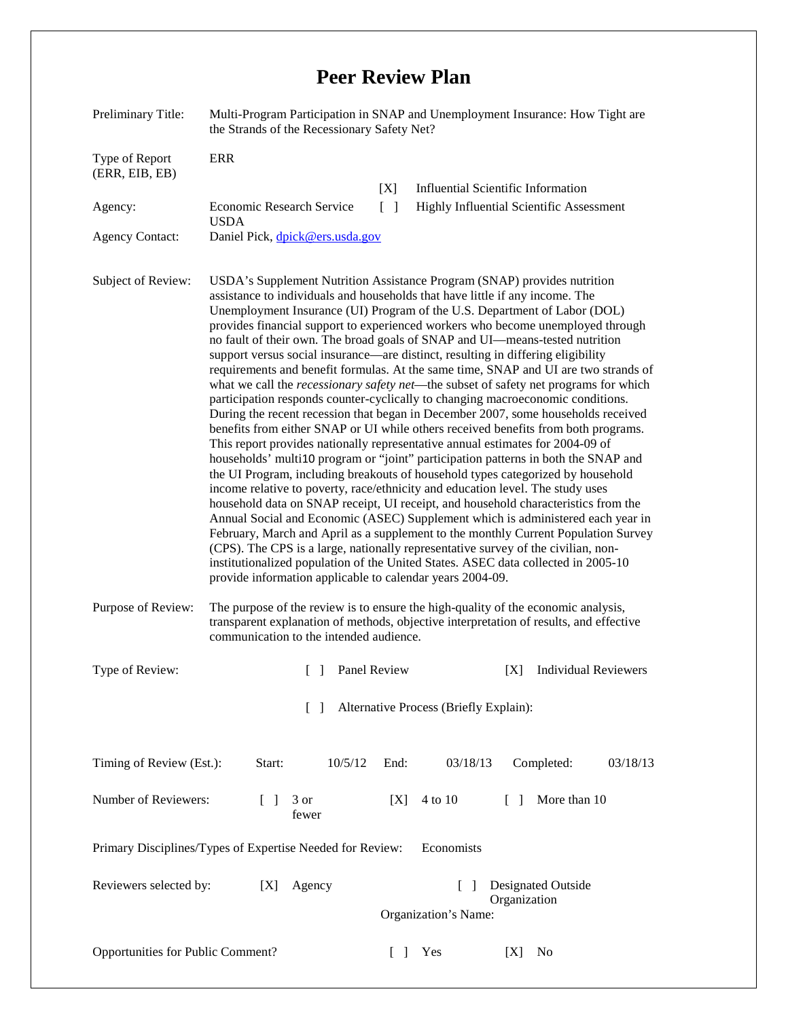## **Peer Review Plan**

| Preliminary Title:                                                      | Multi-Program Participation in SNAP and Unemployment Insurance: How Tight are<br>the Strands of the Recessionary Safety Net?                                                                                                                                                                                                                                                                                                                                                                                                                                                                                                                                                                                                                                                                                                                                                                                                                                                                                                                                                                                                                                                                                                                                                                                                                                                                                                                                                                                                                                                                                                                                                                                                                                                                         |                       |                                           |              |                                          |  |  |
|-------------------------------------------------------------------------|------------------------------------------------------------------------------------------------------------------------------------------------------------------------------------------------------------------------------------------------------------------------------------------------------------------------------------------------------------------------------------------------------------------------------------------------------------------------------------------------------------------------------------------------------------------------------------------------------------------------------------------------------------------------------------------------------------------------------------------------------------------------------------------------------------------------------------------------------------------------------------------------------------------------------------------------------------------------------------------------------------------------------------------------------------------------------------------------------------------------------------------------------------------------------------------------------------------------------------------------------------------------------------------------------------------------------------------------------------------------------------------------------------------------------------------------------------------------------------------------------------------------------------------------------------------------------------------------------------------------------------------------------------------------------------------------------------------------------------------------------------------------------------------------------|-----------------------|-------------------------------------------|--------------|------------------------------------------|--|--|
| Type of Report<br>(ERR, EIB, EB)                                        | <b>ERR</b>                                                                                                                                                                                                                                                                                                                                                                                                                                                                                                                                                                                                                                                                                                                                                                                                                                                                                                                                                                                                                                                                                                                                                                                                                                                                                                                                                                                                                                                                                                                                                                                                                                                                                                                                                                                           |                       |                                           |              |                                          |  |  |
|                                                                         |                                                                                                                                                                                                                                                                                                                                                                                                                                                                                                                                                                                                                                                                                                                                                                                                                                                                                                                                                                                                                                                                                                                                                                                                                                                                                                                                                                                                                                                                                                                                                                                                                                                                                                                                                                                                      | [X]                   | <b>Influential Scientific Information</b> |              |                                          |  |  |
| Agency:                                                                 | Economic Research Service<br><b>USDA</b>                                                                                                                                                                                                                                                                                                                                                                                                                                                                                                                                                                                                                                                                                                                                                                                                                                                                                                                                                                                                                                                                                                                                                                                                                                                                                                                                                                                                                                                                                                                                                                                                                                                                                                                                                             | $\lceil \cdot \rceil$ |                                           |              | Highly Influential Scientific Assessment |  |  |
| <b>Agency Contact:</b>                                                  | Daniel Pick, dpick@ers.usda.gov                                                                                                                                                                                                                                                                                                                                                                                                                                                                                                                                                                                                                                                                                                                                                                                                                                                                                                                                                                                                                                                                                                                                                                                                                                                                                                                                                                                                                                                                                                                                                                                                                                                                                                                                                                      |                       |                                           |              |                                          |  |  |
| Subject of Review:                                                      | USDA's Supplement Nutrition Assistance Program (SNAP) provides nutrition<br>assistance to individuals and households that have little if any income. The<br>Unemployment Insurance (UI) Program of the U.S. Department of Labor (DOL)<br>provides financial support to experienced workers who become unemployed through<br>no fault of their own. The broad goals of SNAP and UI-means-tested nutrition<br>support versus social insurance—are distinct, resulting in differing eligibility<br>requirements and benefit formulas. At the same time, SNAP and UI are two strands of<br>what we call the <i>recessionary safety net</i> —the subset of safety net programs for which<br>participation responds counter-cyclically to changing macroeconomic conditions.<br>During the recent recession that began in December 2007, some households received<br>benefits from either SNAP or UI while others received benefits from both programs.<br>This report provides nationally representative annual estimates for 2004-09 of<br>households' multi10 program or "joint" participation patterns in both the SNAP and<br>the UI Program, including breakouts of household types categorized by household<br>income relative to poverty, race/ethnicity and education level. The study uses<br>household data on SNAP receipt, UI receipt, and household characteristics from the<br>Annual Social and Economic (ASEC) Supplement which is administered each year in<br>February, March and April as a supplement to the monthly Current Population Survey<br>(CPS). The CPS is a large, nationally representative survey of the civilian, non-<br>institutionalized population of the United States. ASEC data collected in 2005-10<br>provide information applicable to calendar years 2004-09. |                       |                                           |              |                                          |  |  |
| Purpose of Review:                                                      | The purpose of the review is to ensure the high-quality of the economic analysis,<br>transparent explanation of methods, objective interpretation of results, and effective<br>communication to the intended audience.                                                                                                                                                                                                                                                                                                                                                                                                                                                                                                                                                                                                                                                                                                                                                                                                                                                                                                                                                                                                                                                                                                                                                                                                                                                                                                                                                                                                                                                                                                                                                                               |                       |                                           |              |                                          |  |  |
| Type of Review:                                                         | Panel Review<br>$\lceil \rceil$                                                                                                                                                                                                                                                                                                                                                                                                                                                                                                                                                                                                                                                                                                                                                                                                                                                                                                                                                                                                                                                                                                                                                                                                                                                                                                                                                                                                                                                                                                                                                                                                                                                                                                                                                                      |                       |                                           | [X]          | <b>Individual Reviewers</b>              |  |  |
| Alternative Process (Briefly Explain):<br>$\mathbf{L}$                  |                                                                                                                                                                                                                                                                                                                                                                                                                                                                                                                                                                                                                                                                                                                                                                                                                                                                                                                                                                                                                                                                                                                                                                                                                                                                                                                                                                                                                                                                                                                                                                                                                                                                                                                                                                                                      |                       |                                           |              |                                          |  |  |
| Timing of Review (Est.):                                                | Start:<br>10/5/12                                                                                                                                                                                                                                                                                                                                                                                                                                                                                                                                                                                                                                                                                                                                                                                                                                                                                                                                                                                                                                                                                                                                                                                                                                                                                                                                                                                                                                                                                                                                                                                                                                                                                                                                                                                    | End:                  | 03/18/13                                  |              | Completed:<br>03/18/13                   |  |  |
| Number of Reviewers:                                                    | $\Box$<br>3 or<br>fewer                                                                                                                                                                                                                                                                                                                                                                                                                                                                                                                                                                                                                                                                                                                                                                                                                                                                                                                                                                                                                                                                                                                                                                                                                                                                                                                                                                                                                                                                                                                                                                                                                                                                                                                                                                              | [X]                   | 4 to 10                                   | $\Box$       | More than 10                             |  |  |
| Primary Disciplines/Types of Expertise Needed for Review:<br>Economists |                                                                                                                                                                                                                                                                                                                                                                                                                                                                                                                                                                                                                                                                                                                                                                                                                                                                                                                                                                                                                                                                                                                                                                                                                                                                                                                                                                                                                                                                                                                                                                                                                                                                                                                                                                                                      |                       |                                           |              |                                          |  |  |
| Reviewers selected by:                                                  | Agency<br>[X]                                                                                                                                                                                                                                                                                                                                                                                                                                                                                                                                                                                                                                                                                                                                                                                                                                                                                                                                                                                                                                                                                                                                                                                                                                                                                                                                                                                                                                                                                                                                                                                                                                                                                                                                                                                        |                       | $\Box$                                    |              | <b>Designated Outside</b>                |  |  |
|                                                                         |                                                                                                                                                                                                                                                                                                                                                                                                                                                                                                                                                                                                                                                                                                                                                                                                                                                                                                                                                                                                                                                                                                                                                                                                                                                                                                                                                                                                                                                                                                                                                                                                                                                                                                                                                                                                      |                       |                                           | Organization |                                          |  |  |
|                                                                         | Organization's Name:                                                                                                                                                                                                                                                                                                                                                                                                                                                                                                                                                                                                                                                                                                                                                                                                                                                                                                                                                                                                                                                                                                                                                                                                                                                                                                                                                                                                                                                                                                                                                                                                                                                                                                                                                                                 |                       |                                           |              |                                          |  |  |
| Opportunities for Public Comment?                                       |                                                                                                                                                                                                                                                                                                                                                                                                                                                                                                                                                                                                                                                                                                                                                                                                                                                                                                                                                                                                                                                                                                                                                                                                                                                                                                                                                                                                                                                                                                                                                                                                                                                                                                                                                                                                      | $\Box$                | Yes                                       | [X]          | No                                       |  |  |